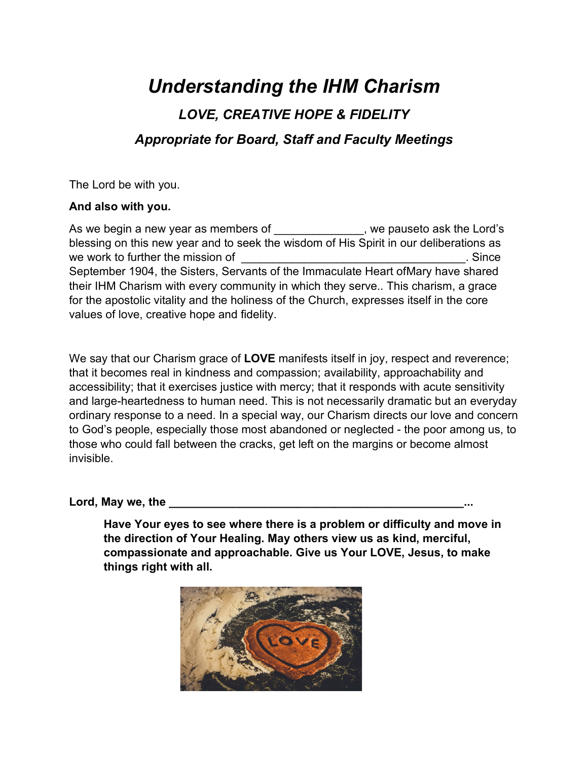## *Understanding the IHM Charism LOVE, CREATIVE HOPE & FIDELITY Appropriate for Board, Staff and Faculty Meetings*

The Lord be with you.

## **And also with you.**

As we begin a new year as members of Theorem we pause to ask the Lord's blessing on this new year and to seek the wisdom of His Spirit in our deliberations as we work to further the mission of **we work to further the mission of**  $\blacksquare$ September 1904, the Sisters, Servants of the Immaculate Heart of Mary have shared their IHM Charism with every community in which they serve.. This charism, a grace for the apostolic vitality and the holiness of the Church, expresses itself in the core values of love, creative hope and fidelity.

We say that our Charism grace of **LOVE** manifests itself in joy, respect and reverence; that it becomes real in kindness and compassion; availability, approachability and accessibility; that it exercises justice with mercy; that it responds with acute sensitivity and large-heartedness to human need. This is not necessarily dramatic but an everyday ordinary response to a need. In a special way, our Charism directs our love and concern to God's people, especially those most abandoned or neglected - the poor among us, to those who could fall between the cracks, get left on the margins or become almost invisible.

## Lord, May we, the

**Have Your eyes to see where there is a problem or difficulty and move in the direction of Your Healing. May others view us as kind, merciful, compassionate and approachable. Give us Your LOVE, Jesus, to make things right with all.**

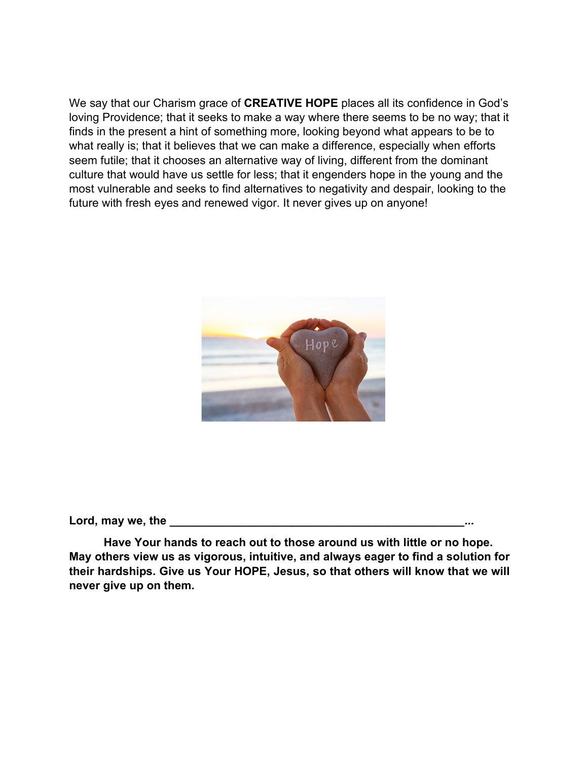We say that our Charism grace of **CREATIVE HOPE** places all its confidence in God's loving Providence; that it seeks to make a way where there seems to be no way; that it finds in the present a hint of something more, looking beyond what appears to be to what really is; that it believes that we can make a difference, especially when efforts seem futile; that it chooses an alternative way of living, different from the dominant culture that would have us settle for less; that it engenders hope in the young and the most vulnerable and seeks to find alternatives to negativity and despair, looking to the future with fresh eyes and renewed vigor. It never gives up on anyone!



Lord, may we, the

**Have Your hands to reach out to those around us with little or no hope. May others view us as vigorous, intuitive, and always eager to find a solution for their hardships. Give us Your HOPE, Jesus, so that others will know that we will never give up on them.**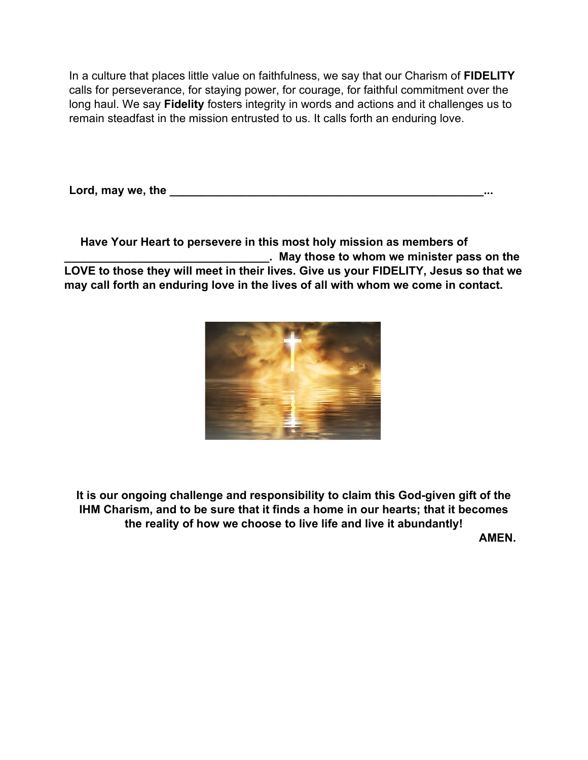In a culture that places little value on faithfulness, we say that our Charism of **FIDELITY** calls for perseverance, for staying power, for courage, for faithful commitment over the long haul. We say **Fidelity** fosters integrity in words and actions and it challenges us to remain steadfast in the mission entrusted to us. It calls forth an enduring love.

Lord, may we, the <u>same and the set of the set of the set of the set of the set of the set of the set of the set of the set of the set of the set of the set of the set of the set of the set of the set of the set of the set</u>

 **Have Your Heart to persevere in this most holy mission as members of \_\_\_\_\_\_\_\_\_\_\_\_\_\_\_\_\_\_\_\_\_\_\_\_\_\_\_\_\_\_\_\_. May those to whom we minister pass on the LOVE to those they will meet in their lives. Give us your FIDELITY, Jesus so that we may call forth an enduring love in the lives of all with whom we come in contact.**



**It is our ongoing challenge and responsibility to claim this God-given gift of the IHM Charism, and to be sure that it finds a home in our hearts; that it becomes the reality of how we choose to live life and live it abundantly! AMEN.**